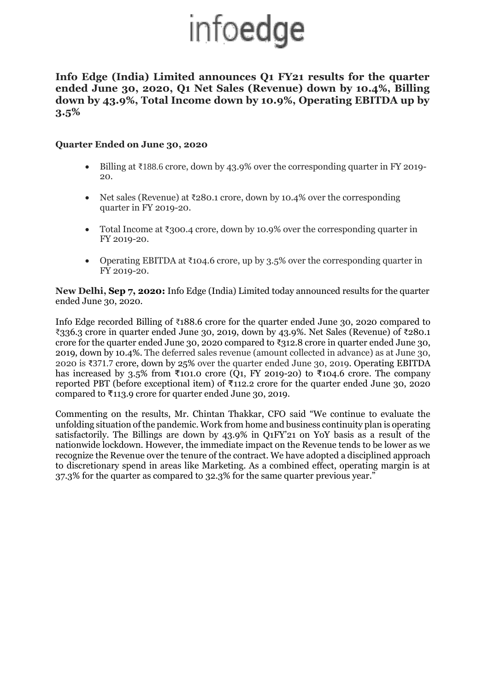## infoedge

**Info Edge (India) Limited announces Q1 FY21 results for the quarter ended June 30, 2020, Q1 Net Sales (Revenue) down by 10.4%, Billing down by 43.9%, Total Income down by 10.9%, Operating EBITDA up by 3.5%**

## **Quarter Ended on June 30, 2020**

- Billing at ₹188.6 crore, down by 43.9% over the corresponding quarter in FY 2019- 20.
- Net sales (Revenue) at ₹280.1 crore, down by 10.4% over the corresponding quarter in FY 2019-20.
- Total Income at  $\bar{\mathfrak{Z}}$ 300.4 crore, down by 10.9% over the corresponding quarter in FY 2019-20.
- Operating EBITDA at  $\text{\texttt{[104.6}}$  crore, up by 3.5% over the corresponding quarter in FY 2019-20.

**New Delhi, Sep 7, 2020:** Info Edge (India) Limited today announced results for the quarter ended June 30, 2020.

Info Edge recorded Billing of ₹188.6 crore for the quarter ended June 30, 2020 compared to ₹336.3 crore in quarter ended June 30, 2019, down by 43.9%. Net Sales (Revenue) of ₹280.1 crore for the quarter ended June 30, 2020 compared to  $\overline{\xi}312.8$  crore in quarter ended June 30, 2019, down by 10.4%. The deferred sales revenue (amount collected in advance) as at June 30, 2020 is ₹371.7 crore, down by 25% over the quarter ended June 30, 2019. Operating EBITDA has increased by 3.5% from ₹101.0 crore (Q1, FY 2019-20) to ₹104.6 crore. The company reported PBT (before exceptional item) of ₹112.2 crore for the quarter ended June 30, 2020 compared to ₹113.9 crore for quarter ended June 30, 2019.

Commenting on the results, Mr. Chintan Thakkar, CFO said "We continue to evaluate the unfolding situation of the pandemic. Work from home and business continuity plan is operating satisfactorily. The Billings are down by 43.9% in Q1FY'21 on YoY basis as a result of the nationwide lockdown. However, the immediate impact on the Revenue tends to be lower as we recognize the Revenue over the tenure of the contract. We have adopted a disciplined approach to discretionary spend in areas like Marketing. As a combined effect, operating margin is at 37.3% for the quarter as compared to 32.3% for the same quarter previous year."